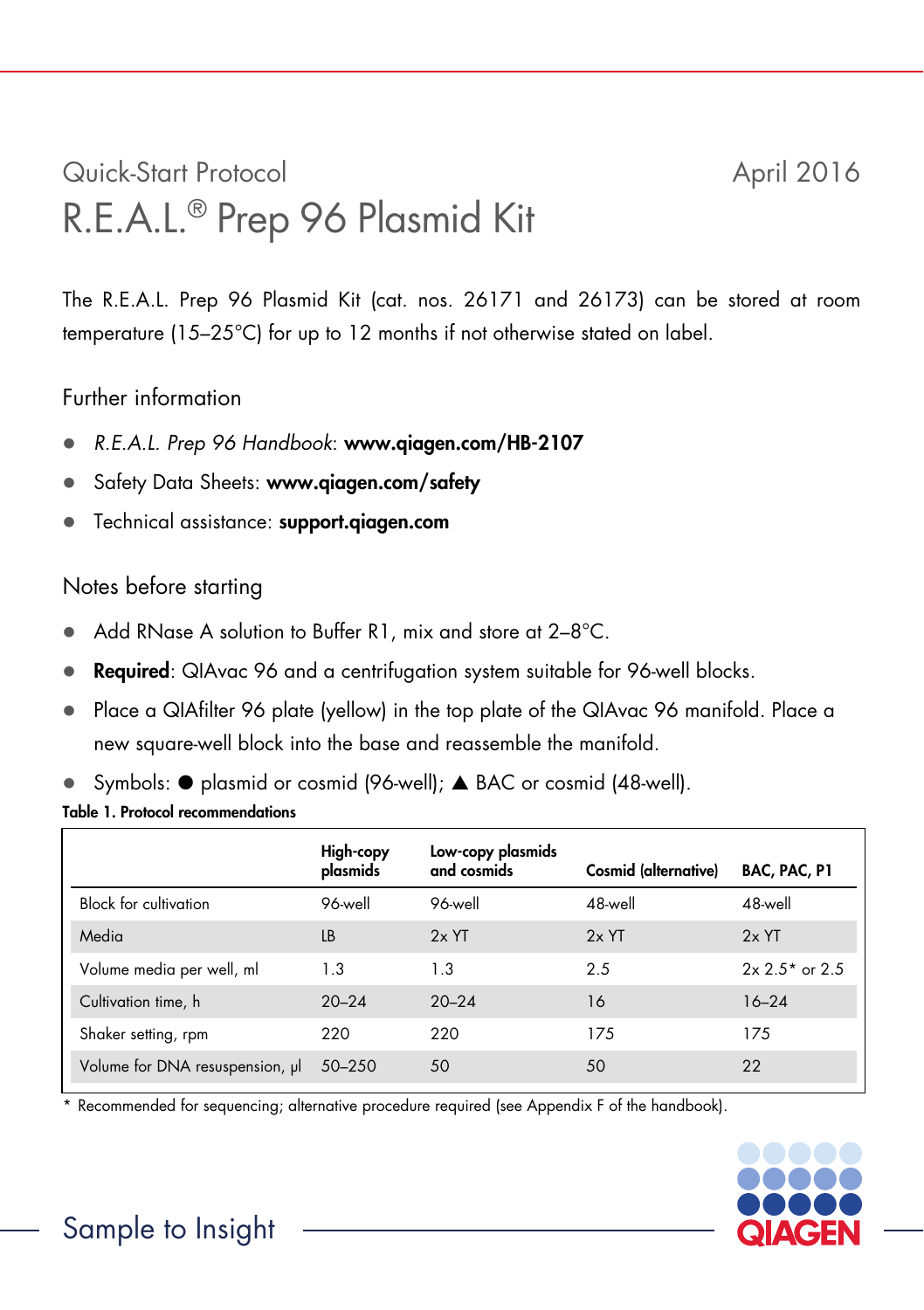# Quick-Start Protocol April 2016 R.E.A.L.® Prep 96 Plasmid Kit

The R.E.A.L. Prep 96 Plasmid Kit (cat. nos. 26171 and 26173) can be stored at room temperature (15–25°C) for up to 12 months if not otherwise stated on label.

### Further information

- *R.E.A.L. Prep 96 Handbook*: www.qiagen.com/HB-2107
- Safety Data Sheets: www.giagen.com/safety
- **•** Technical assistance: support.qiagen.com

#### Notes before starting

- Add RNase A solution to Buffer R1, mix and store at 2-8°C.
- Required: QIAvac 96 and a centrifugation system suitable for 96-well blocks.
- Place a QIAfilter 96 plate (yellow) in the top plate of the QIAvac 96 manifold. Place a new square-well block into the base and reassemble the manifold.
- Symbols:  $\bullet$  plasmid or cosmid (96-well);  $\bullet$  BAC or cosmid (48-well).

#### Table 1. Protocol recommendations

|                                 | High-copy<br>plasmids | Low-copy plasmids<br>and cosmids | Cosmid (alternative) | BAC, PAC, P1      |
|---------------------------------|-----------------------|----------------------------------|----------------------|-------------------|
| <b>Block for cultivation</b>    | 96-well               | 96-well                          | 48-well              | 48-well           |
| Media                           | LB                    | $2x$ YT                          | $2x$ YT              | $2x$ YT           |
| Volume media per well, ml       | 1.3                   | 1.3                              | 2.5                  | $2x 2.5^*$ or 2.5 |
| Cultivation time, h             | $20 - 24$             | $20 - 24$                        | 16                   | $16 - 24$         |
| Shaker setting, rpm             | 220                   | 220                              | 175                  | 175               |
| Volume for DNA resuspension, µl | $50 - 250$            | 50                               | 50                   | 22                |

\* Recommended for sequencing; alternative procedure required (see Appendix F of the handbook).



## Sample to Insight